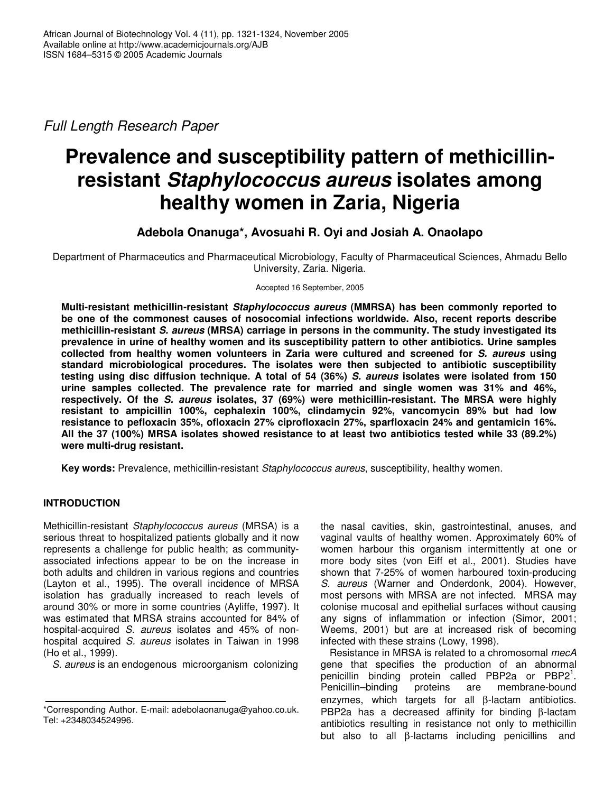*Full Length Research Paper*

# **Prevalence and susceptibility pattern of methicillinresistant** *Staphylococcus aureus* **isolates among healthy women in Zaria, Nigeria**

# **Adebola Onanuga\*, Avosuahi R. Oyi and Josiah A. Onaolapo**

Department of Pharmaceutics and Pharmaceutical Microbiology, Faculty of Pharmaceutical Sciences, Ahmadu Bello University, Zaria. Nigeria.

Accepted 16 September, 2005

**Multi-resistant methicillin-resistant** *Staphylococcus aureus* **(MMRSA) has been commonly reported to be one of the commonest causes of nosocomial infections worldwide. Also, recent reports describe methicillin-resistant** *S. aureus* **(MRSA) carriage in persons in the community. The study investigated its prevalence in urine of healthy women and its susceptibility pattern to other antibiotics. Urine samples collected from healthy women volunteers in Zaria were cultured and screened for** *S. aureus* **using standard microbiological procedures. The isolates were then subjected to antibiotic susceptibility testing using disc diffusion technique. A total of 54 (36%)** *S. aureus* **isolates were isolated from 150 urine samples collected. The prevalence rate for married and single women was 31% and 46%, respectively. Of the** *S. aureus* **isolates, 37 (69%) were methicillin-resistant. The MRSA were highly resistant to ampicillin 100%, cephalexin 100%, clindamycin 92%, vancomycin 89% but had low resistance to pefloxacin 35%, ofloxacin 27% ciprofloxacin 27%, sparfloxacin 24% and gentamicin 16%. All the 37 (100%) MRSA isolates showed resistance to at least two antibiotics tested while 33 (89.2%) were multi-drug resistant.**

**Key words:** Prevalence, methicillin-resistant *Staphylococcus aureus*, susceptibility, healthy women.

## **INTRODUCTION**

Methicillin-resistant *Staphylococcus aureus* (MRSA) is a serious threat to hospitalized patients globally and it now represents a challenge for public health; as communityassociated infections appear to be on the increase in both adults and children in various regions and countries (Layton et al., 1995). The overall incidence of MRSA isolation has gradually increased to reach levels of around 30% or more in some countries (Ayliffe, 1997). It was estimated that MRSA strains accounted for 84% of hospital-acquired *S. aureus* isolates and 45% of nonhospital acquired *S. aureus* isolates in Taiwan in 1998 (Ho et al., 1999).

*S. aureus* is an endogenous microorganism colonizing

the nasal cavities, skin, gastrointestinal, anuses, and vaginal vaults of healthy women. Approximately 60% of women harbour this organism intermittently at one or more body sites (von Eiff et al., 2001). Studies have shown that 7-25% of women harboured toxin-producing *S. aureus* (Warner and Onderdonk, 2004). However, most persons with MRSA are not infected. MRSA may colonise mucosal and epithelial surfaces without causing any signs of inflammation or infection (Simor, 2001; Weems, 2001) but are at increased risk of becoming infected with these strains (Lowy, 1998).

Resistance in MRSA is related to a chromosomal *mecA* gene that specifies the production of an abnormal penicillin binding protein called PBP2a or PBP2<sup>1</sup>. Penicillin–binding proteins are membrane-bound enzymes, which targets for all β-lactam antibiotics. PBP2a has a decreased affinity for binding β-lactam antibiotics resulting in resistance not only to methicillin but also to all β-lactams including penicillins and

<sup>\*</sup>Corresponding Author. E-mail: adebolaonanuga@yahoo.co.uk. Tel: +2348034524996.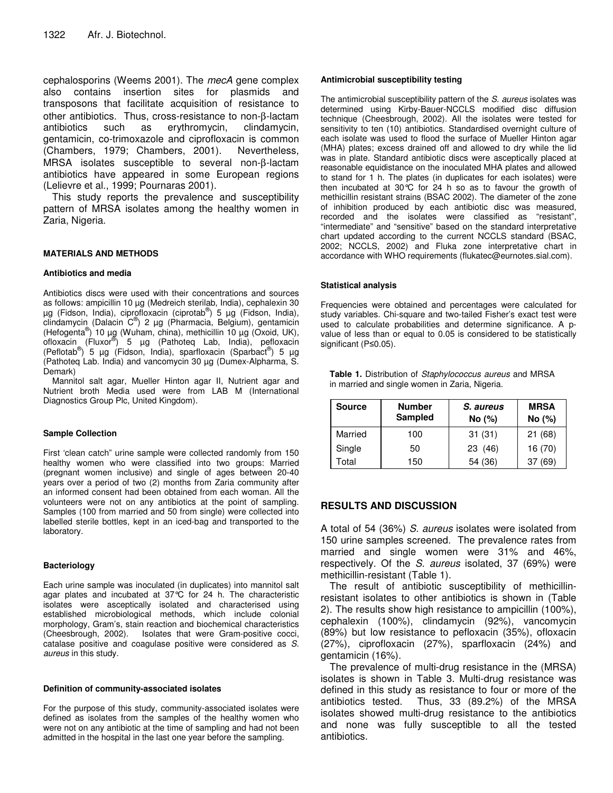cephalosporins (Weems 2001). The *mecA* gene complex also contains insertion sites for plasmids and transposons that facilitate acquisition of resistance to other antibiotics. Thus, cross-resistance to non-β-lactam antibiotics such as erythromycin, clindamycin, gentamicin, co-trimoxazole and ciprofloxacin is common (Chambers, 1979; Chambers, 2001). Nevertheless, MRSA isolates susceptible to several non-β-lactam antibiotics have appeared in some European regions (Lelievre et al., 1999; Pournaras 2001).

This study reports the prevalence and susceptibility pattern of MRSA isolates among the healthy women in Zaria, Nigeria.

#### **MATERIALS AND METHODS**

#### **Antibiotics and media**

Antibiotics discs were used with their concentrations and sources as follows: ampicillin 10 µg (Medreich sterilab, India), cephalexin 30 μg (Fidson, India), ciprofloxacin (ciprotab®) 5 μg (Fidson, India), clindamycin (Dalacin C ® ) 2 µg (Pharmacia, Belgium), gentamicin (Hefogenta ® ) 10 µg (Wuham, china), methicillin 10 µg (Oxoid, UK), ofloxacin (Fluxor<sup>®</sup>) 5 µg (Pathoteq Lab, India), pefloxacin (Peflotab®) 5 μg (Fidson, India), sparfloxacin (Sparbact®) 5 μg (Pathoteq Lab. India) and vancomycin 30 µg (Dumex-Alpharma, S. Demark)

Mannitol salt agar, Mueller Hinton agar II, Nutrient agar and Nutrient broth Media used were from LAB M (International Diagnostics Group Plc, United Kingdom).

#### **Sample Collection**

First 'clean catch" urine sample were collected randomly from 150 healthy women who were classified into two groups: Married (pregnant women inclusive) and single of ages between 20-40 years over a period of two (2) months from Zaria community after an informed consent had been obtained from each woman. All the volunteers were not on any antibiotics at the point of sampling. Samples (100 from married and 50 from single) were collected into labelled sterile bottles, kept in an iced-bag and transported to the laboratory.

#### **Bacteriology**

Each urine sample was inoculated (in duplicates) into mannitol salt agar plates and incubated at 37°C for 24 h. The characteristic isolates were asceptically isolated and characterised using established microbiological methods, which include colonial morphology, Gram's, stain reaction and biochemical characteristics (Cheesbrough, 2002). Isolates that were Gram-positive cocci, catalase positive and coagulase positive were considered as *S. aureus* in this study.

#### **Definition of community-associated isolates**

For the purpose of this study, community-associated isolates were defined as isolates from the samples of the healthy women who were not on any antibiotic at the time of sampling and had not been admitted in the hospital in the last one year before the sampling.

#### **Antimicrobial susceptibility testing**

The antimicrobial susceptibility pattern of the *S. aureus* isolates was determined using Kirby-Bauer-NCCLS modified disc diffusion technique (Cheesbrough, 2002). All the isolates were tested for sensitivity to ten (10) antibiotics. Standardised overnight culture of each isolate was used to flood the surface of Mueller Hinton agar (MHA) plates; excess drained off and allowed to dry while the lid was in plate. Standard antibiotic discs were asceptically placed at reasonable equidistance on the inoculated MHA plates and allowed to stand for 1 h. The plates (in duplicates for each isolates) were then incubated at 30°C for 24 h so as to favour the growth of methicillin resistant strains (BSAC 2002). The diameter of the zone of inhibition produced by each antibiotic disc was measured, recorded and the isolates were classified as "resistant", "intermediate" and "sensitive" based on the standard interpretative chart updated according to the current NCCLS standard (BSAC, 2002; NCCLS, 2002) and Fluka zone interpretative chart in accordance with WHO requirements (flukatec@eurnotes.sial.com).

#### **Statistical analysis**

Frequencies were obtained and percentages were calculated for study variables. Chi-square and two-tailed Fisher's exact test were used to calculate probabilities and determine significance. A pvalue of less than or equal to 0.05 is considered to be statistically significant ( $P\leq 0.05$ ).

| <b>Table 1.</b> Distribution of <i>Staphylococcus aureus</i> and MRSA |  |
|-----------------------------------------------------------------------|--|
| in married and single women in Zaria, Nigeria.                        |  |

| <b>Source</b> | <b>Number</b><br><b>Sampled</b> | S. aureus<br>No (%) | <b>MRSA</b><br>No (%) |
|---------------|---------------------------------|---------------------|-----------------------|
| Married       | 100                             | 31(31)              | 21(68)                |
| Single        | 50                              | 23 (46)             | 16 (70)               |
| Total         | 150                             | 54 (36)             | 37(69)                |

### **RESULTS AND DISCUSSION**

A total of 54 (36%) *S. aureus* isolates were isolated from 150 urine samples screened. The prevalence rates from married and single women were 31% and 46%, respectively. Of the *S. aureus* isolated, 37 (69%) were methicillin-resistant (Table 1).

The result of antibiotic susceptibility of methicillinresistant isolates to other antibiotics is shown in (Table 2). The results show high resistance to ampicillin (100%), cephalexin (100%), clindamycin (92%), vancomycin (89%) but low resistance to pefloxacin (35%), ofloxacin (27%), ciprofloxacin (27%), sparfloxacin (24%) and gentamicin (16%).

The prevalence of multi-drug resistance in the (MRSA) isolates is shown in Table 3. Multi-drug resistance was defined in this study as resistance to four or more of the antibiotics tested. Thus, 33 (89.2%) of the MRSA isolates showed multi-drug resistance to the antibiotics and none was fully susceptible to all the tested antibiotics.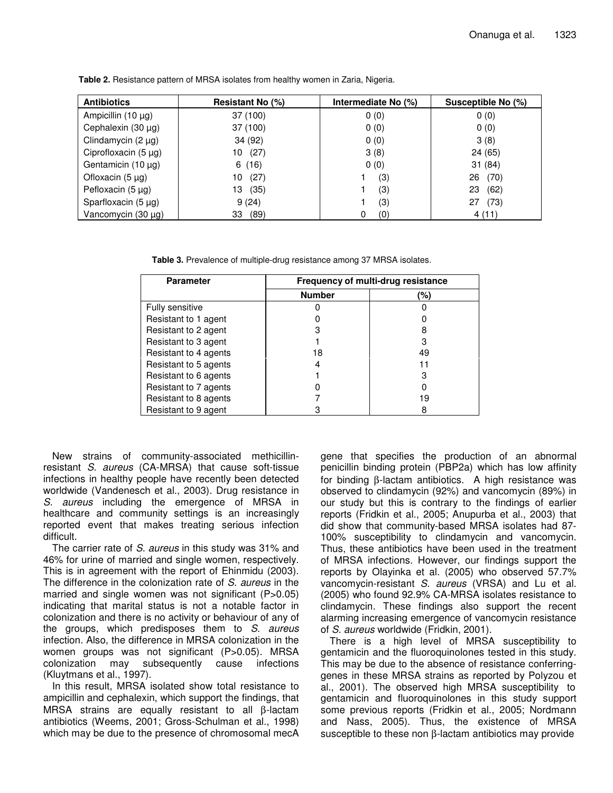| <b>Antibiotics</b>        | Resistant No (%) | Intermediate No (%) | Susceptible No (%) |
|---------------------------|------------------|---------------------|--------------------|
| Ampicillin $(10 \mu g)$   | 37 (100)         | 0(0)                | 0(0)               |
| Cephalexin (30 µg)        | 37 (100)         | 0(0)                | 0(0)               |
| Clindamycin $(2 \mu g)$   | 34 (92)          | 0(0)                | 3(8)               |
| Ciprofloxacin $(5 \mu g)$ | (27)<br>10       | 3(8)                | 24 (65)            |
| Gentamicin $(10 \mu g)$   | 6(16)            | 0(0)                | 31(84)             |
| Ofloxacin $(5 \mu g)$     | (27)<br>10       | (3)                 | (70)<br>26         |
| Pefloxacin $(5 \mu g)$    | (35)<br>13       | (3)                 | 23<br>(62)         |
| Sparfloxacin (5 µg)       | 9(24)            | (3)                 | (73)<br>27         |
| Vancomycin (30 $\mu$ g)   | (89)<br>33       | (0)<br>0            | 4(11)              |

**Table 2.** Resistance pattern of MRSA isolates from healthy women in Zaria, Nigeria.

**Table 3.** Prevalence of multiple-drug resistance among 37 MRSA isolates.

| <b>Parameter</b>      | Frequency of multi-drug resistance |     |  |
|-----------------------|------------------------------------|-----|--|
|                       | <b>Number</b>                      | (%) |  |
| Fully sensitive       |                                    |     |  |
| Resistant to 1 agent  |                                    |     |  |
| Resistant to 2 agent  |                                    | 8   |  |
| Resistant to 3 agent  |                                    | 3   |  |
| Resistant to 4 agents | 18                                 | 49  |  |
| Resistant to 5 agents |                                    | 11  |  |
| Resistant to 6 agents |                                    | З   |  |
| Resistant to 7 agents |                                    |     |  |
| Resistant to 8 agents |                                    | 19  |  |
| Resistant to 9 agent  |                                    |     |  |

New strains of community-associated methicillinresistant *S. aureus* (CA-MRSA) that cause soft-tissue infections in healthy people have recently been detected worldwide (Vandenesch et al., 2003). Drug resistance in *S. aureus* including the emergence of MRSA in healthcare and community settings is an increasingly reported event that makes treating serious infection difficult.

The carrier rate of *S. aureus* in this study was 31% and 46% for urine of married and single women, respectively. This is in agreement with the report of Ehinmidu (2003). The difference in the colonization rate of *S. aureus* in the married and single women was not significant (P>0.05) indicating that marital status is not a notable factor in colonization and there is no activity or behaviour of any of the groups, which predisposes them to *S. aureus* infection. Also, the difference in MRSA colonization in the women groups was not significant (P>0.05). MRSA colonization may subsequently cause infections (Kluytmans et al., 1997).

In this result, MRSA isolated show total resistance to ampicillin and cephalexin, which support the findings, that MRSA strains are equally resistant to all β-lactam antibiotics (Weems, 2001; Gross-Schulman et al., 1998) which may be due to the presence of chromosomal mecA

gene that specifies the production of an abnormal penicillin binding protein (PBP2a) which has low affinity for binding β-lactam antibiotics. A high resistance was observed to clindamycin (92%) and vancomycin (89%) in our study but this is contrary to the findings of earlier reports (Fridkin et al., 2005; Anupurba et al., 2003) that did show that community-based MRSA isolates had 87- 100% susceptibility to clindamycin and vancomycin. Thus, these antibiotics have been used in the treatment of MRSA infections. However, our findings support the reports by Olayinka et al. (2005) who observed 57.7% vancomycin-resistant *S. aureus* (VRSA) and Lu et al. (2005) who found 92.9% CA-MRSA isolates resistance to clindamycin. These findings also support the recent alarming increasing emergence of vancomycin resistance of *S. aureus* worldwide (Fridkin, 2001).

There is a high level of MRSA susceptibility to gentamicin and the fluoroquinolones tested in this study. This may be due to the absence of resistance conferringgenes in these MRSA strains as reported by Polyzou et al., 2001). The observed high MRSA susceptibility to gentamicin and fluoroquinolones in this study support some previous reports (Fridkin et al., 2005; Nordmann and Nass, 2005). Thus, the existence of MRSA susceptible to these non β-lactam antibiotics may provide